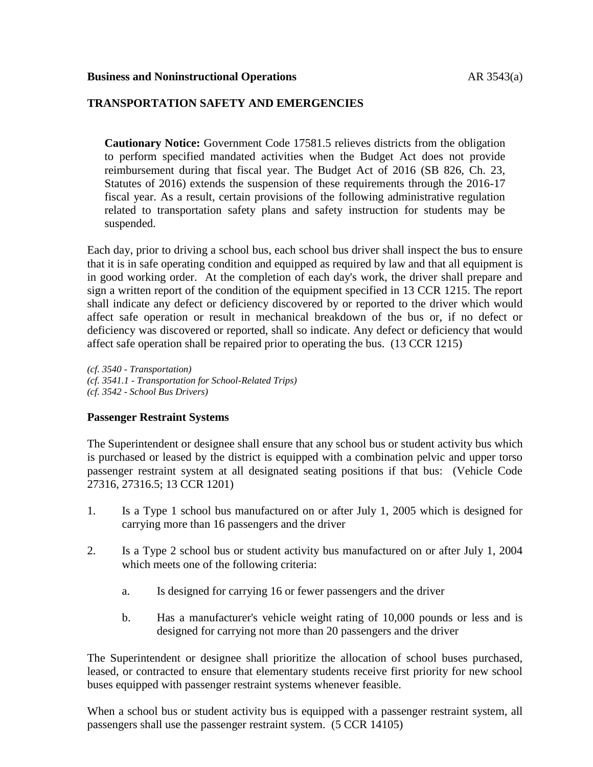# **TRANSPORTATION SAFETY AND EMERGENCIES**

**Cautionary Notice:** Government Code 17581.5 relieves districts from the obligation to perform specified mandated activities when the Budget Act does not provide reimbursement during that fiscal year. The Budget Act of 2016 (SB 826, Ch. 23, Statutes of 2016) extends the suspension of these requirements through the 2016-17 fiscal year. As a result, certain provisions of the following administrative regulation related to transportation safety plans and safety instruction for students may be suspended.

Each day, prior to driving a school bus, each school bus driver shall inspect the bus to ensure that it is in safe operating condition and equipped as required by law and that all equipment is in good working order. At the completion of each day's work, the driver shall prepare and sign a written report of the condition of the equipment specified in 13 CCR 1215. The report shall indicate any defect or deficiency discovered by or reported to the driver which would affect safe operation or result in mechanical breakdown of the bus or, if no defect or deficiency was discovered or reported, shall so indicate. Any defect or deficiency that would affect safe operation shall be repaired prior to operating the bus. (13 CCR 1215)

*(cf. 3540 - Transportation) (cf. 3541.1 - Transportation for School-Related Trips) (cf. 3542 - School Bus Drivers)*

## **Passenger Restraint Systems**

The Superintendent or designee shall ensure that any school bus or student activity bus which is purchased or leased by the district is equipped with a combination pelvic and upper torso passenger restraint system at all designated seating positions if that bus: (Vehicle Code 27316, 27316.5; 13 CCR 1201)

- 1. Is a Type 1 school bus manufactured on or after July 1, 2005 which is designed for carrying more than 16 passengers and the driver
- 2. Is a Type 2 school bus or student activity bus manufactured on or after July 1, 2004 which meets one of the following criteria:
	- a. Is designed for carrying 16 or fewer passengers and the driver
	- b. Has a manufacturer's vehicle weight rating of 10,000 pounds or less and is designed for carrying not more than 20 passengers and the driver

The Superintendent or designee shall prioritize the allocation of school buses purchased, leased, or contracted to ensure that elementary students receive first priority for new school buses equipped with passenger restraint systems whenever feasible.

When a school bus or student activity bus is equipped with a passenger restraint system, all passengers shall use the passenger restraint system. (5 CCR 14105)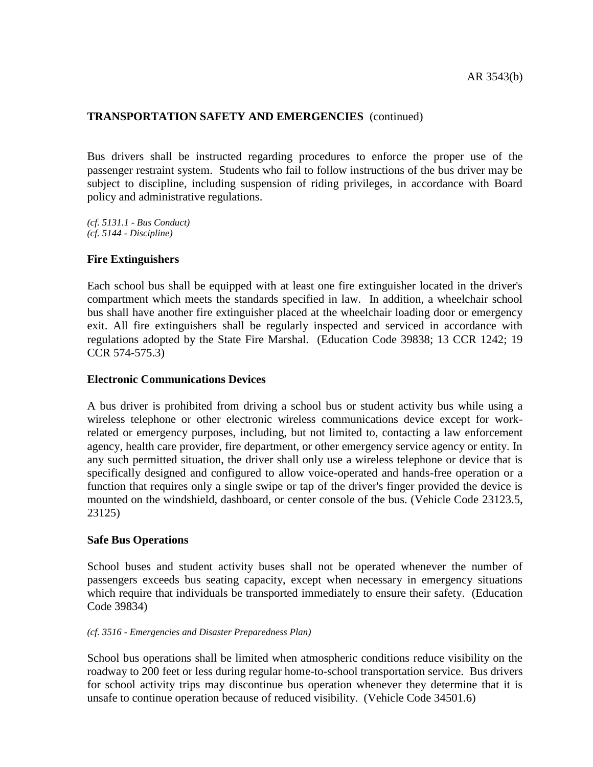Bus drivers shall be instructed regarding procedures to enforce the proper use of the passenger restraint system. Students who fail to follow instructions of the bus driver may be subject to discipline, including suspension of riding privileges, in accordance with Board policy and administrative regulations.

*(cf. 5131.1 - Bus Conduct) (cf. 5144 - Discipline)*

## **Fire Extinguishers**

Each school bus shall be equipped with at least one fire extinguisher located in the driver's compartment which meets the standards specified in law. In addition, a wheelchair school bus shall have another fire extinguisher placed at the wheelchair loading door or emergency exit. All fire extinguishers shall be regularly inspected and serviced in accordance with regulations adopted by the State Fire Marshal. (Education Code 39838; 13 CCR 1242; 19 CCR 574-575.3)

### **Electronic Communications Devices**

A bus driver is prohibited from driving a school bus or student activity bus while using a wireless telephone or other electronic wireless communications device except for workrelated or emergency purposes, including, but not limited to, contacting a law enforcement agency, health care provider, fire department, or other emergency service agency or entity. In any such permitted situation, the driver shall only use a wireless telephone or device that is specifically designed and configured to allow voice-operated and hands-free operation or a function that requires only a single swipe or tap of the driver's finger provided the device is mounted on the windshield, dashboard, or center console of the bus. (Vehicle Code 23123.5, 23125)

## **Safe Bus Operations**

School buses and student activity buses shall not be operated whenever the number of passengers exceeds bus seating capacity, except when necessary in emergency situations which require that individuals be transported immediately to ensure their safety. (Education Code 39834)

#### *(cf. 3516 - Emergencies and Disaster Preparedness Plan)*

School bus operations shall be limited when atmospheric conditions reduce visibility on the roadway to 200 feet or less during regular home-to-school transportation service. Bus drivers for school activity trips may discontinue bus operation whenever they determine that it is unsafe to continue operation because of reduced visibility. (Vehicle Code 34501.6)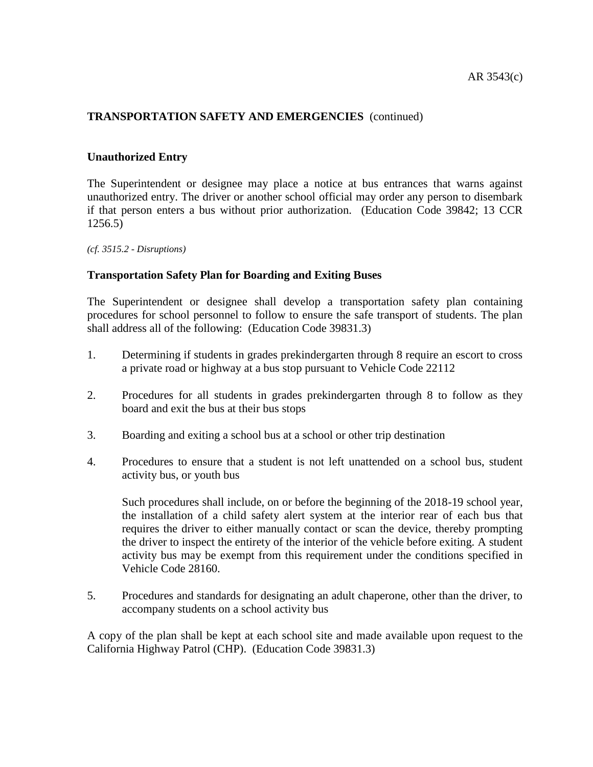## **Unauthorized Entry**

The Superintendent or designee may place a notice at bus entrances that warns against unauthorized entry. The driver or another school official may order any person to disembark if that person enters a bus without prior authorization. (Education Code 39842; 13 CCR 1256.5)

*(cf. 3515.2 - Disruptions)*

### **Transportation Safety Plan for Boarding and Exiting Buses**

The Superintendent or designee shall develop a transportation safety plan containing procedures for school personnel to follow to ensure the safe transport of students. The plan shall address all of the following: (Education Code 39831.3)

- 1. Determining if students in grades prekindergarten through 8 require an escort to cross a private road or highway at a bus stop pursuant to Vehicle Code 22112
- 2. Procedures for all students in grades prekindergarten through 8 to follow as they board and exit the bus at their bus stops
- 3. Boarding and exiting a school bus at a school or other trip destination
- 4. Procedures to ensure that a student is not left unattended on a school bus, student activity bus, or youth bus

Such procedures shall include, on or before the beginning of the 2018-19 school year, the installation of a child safety alert system at the interior rear of each bus that requires the driver to either manually contact or scan the device, thereby prompting the driver to inspect the entirety of the interior of the vehicle before exiting. A student activity bus may be exempt from this requirement under the conditions specified in Vehicle Code 28160.

5. Procedures and standards for designating an adult chaperone, other than the driver, to accompany students on a school activity bus

A copy of the plan shall be kept at each school site and made available upon request to the California Highway Patrol (CHP). (Education Code 39831.3)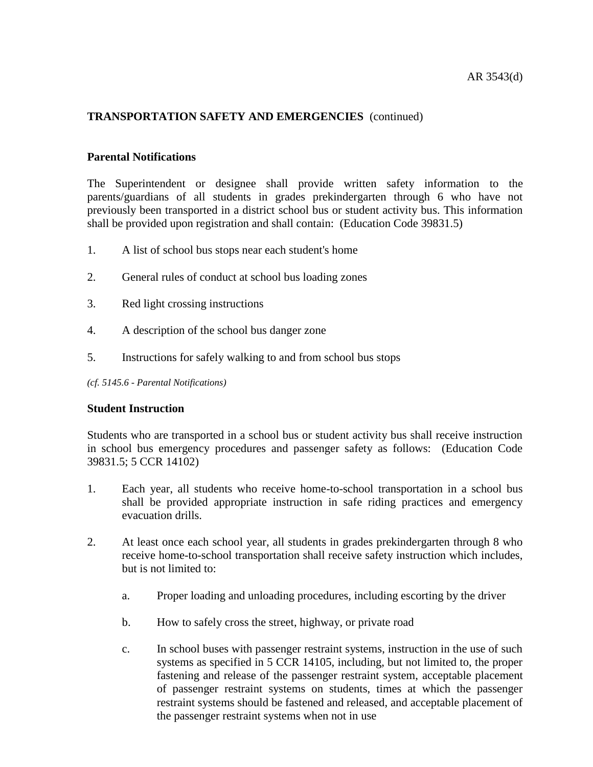### **Parental Notifications**

The Superintendent or designee shall provide written safety information to the parents/guardians of all students in grades prekindergarten through 6 who have not previously been transported in a district school bus or student activity bus. This information shall be provided upon registration and shall contain: (Education Code 39831.5)

- 1. A list of school bus stops near each student's home
- 2. General rules of conduct at school bus loading zones
- 3. Red light crossing instructions
- 4. A description of the school bus danger zone
- 5. Instructions for safely walking to and from school bus stops

*(cf. 5145.6 - Parental Notifications)*

#### **Student Instruction**

Students who are transported in a school bus or student activity bus shall receive instruction in school bus emergency procedures and passenger safety as follows: (Education Code 39831.5; 5 CCR 14102)

- 1. Each year, all students who receive home-to-school transportation in a school bus shall be provided appropriate instruction in safe riding practices and emergency evacuation drills.
- 2. At least once each school year, all students in grades prekindergarten through 8 who receive home-to-school transportation shall receive safety instruction which includes, but is not limited to:
	- a. Proper loading and unloading procedures, including escorting by the driver
	- b. How to safely cross the street, highway, or private road
	- c. In school buses with passenger restraint systems, instruction in the use of such systems as specified in 5 CCR 14105, including, but not limited to, the proper fastening and release of the passenger restraint system, acceptable placement of passenger restraint systems on students, times at which the passenger restraint systems should be fastened and released, and acceptable placement of the passenger restraint systems when not in use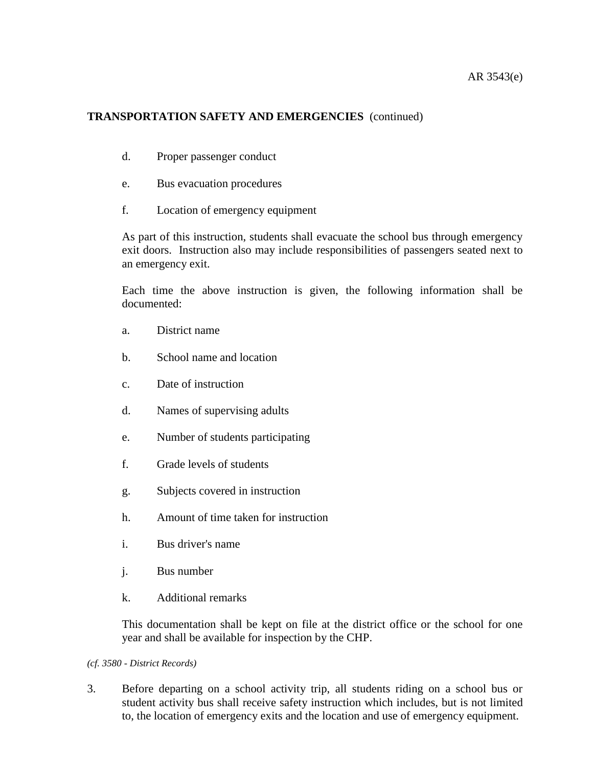## AR 3543(e)

# **TRANSPORTATION SAFETY AND EMERGENCIES** (continued)

- d. Proper passenger conduct
- e. Bus evacuation procedures
- f. Location of emergency equipment

As part of this instruction, students shall evacuate the school bus through emergency exit doors. Instruction also may include responsibilities of passengers seated next to an emergency exit.

Each time the above instruction is given, the following information shall be documented:

- a. District name
- b. School name and location
- c. Date of instruction
- d. Names of supervising adults
- e. Number of students participating
- f. Grade levels of students
- g. Subjects covered in instruction
- h. Amount of time taken for instruction
- i. Bus driver's name
- j. Bus number
- k. Additional remarks

This documentation shall be kept on file at the district office or the school for one year and shall be available for inspection by the CHP.

*(cf. 3580 - District Records)*

3. Before departing on a school activity trip, all students riding on a school bus or student activity bus shall receive safety instruction which includes, but is not limited to, the location of emergency exits and the location and use of emergency equipment.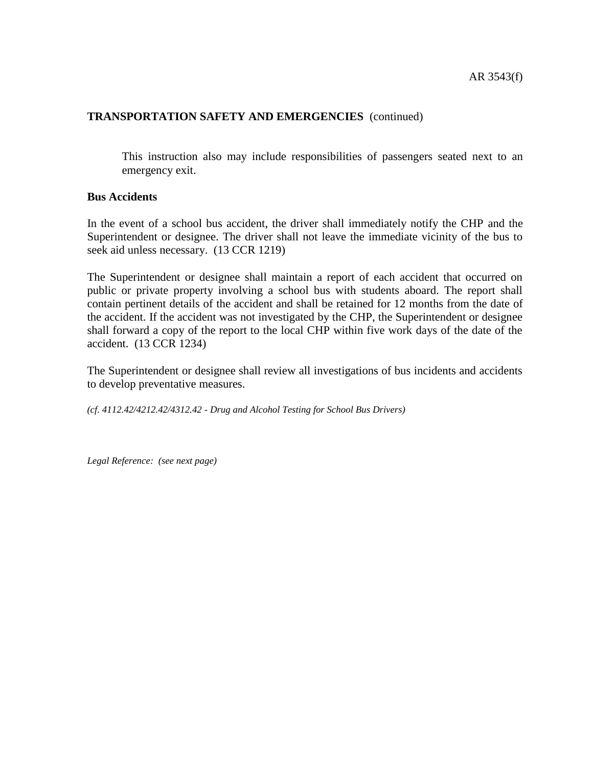This instruction also may include responsibilities of passengers seated next to an emergency exit.

## **Bus Accidents**

In the event of a school bus accident, the driver shall immediately notify the CHP and the Superintendent or designee. The driver shall not leave the immediate vicinity of the bus to seek aid unless necessary. (13 CCR 1219)

The Superintendent or designee shall maintain a report of each accident that occurred on public or private property involving a school bus with students aboard. The report shall contain pertinent details of the accident and shall be retained for 12 months from the date of the accident. If the accident was not investigated by the CHP, the Superintendent or designee shall forward a copy of the report to the local CHP within five work days of the date of the accident. (13 CCR 1234)

The Superintendent or designee shall review all investigations of bus incidents and accidents to develop preventative measures.

*(cf. 4112.42/4212.42/4312.42 - Drug and Alcohol Testing for School Bus Drivers)*

*Legal Reference: (see next page)*